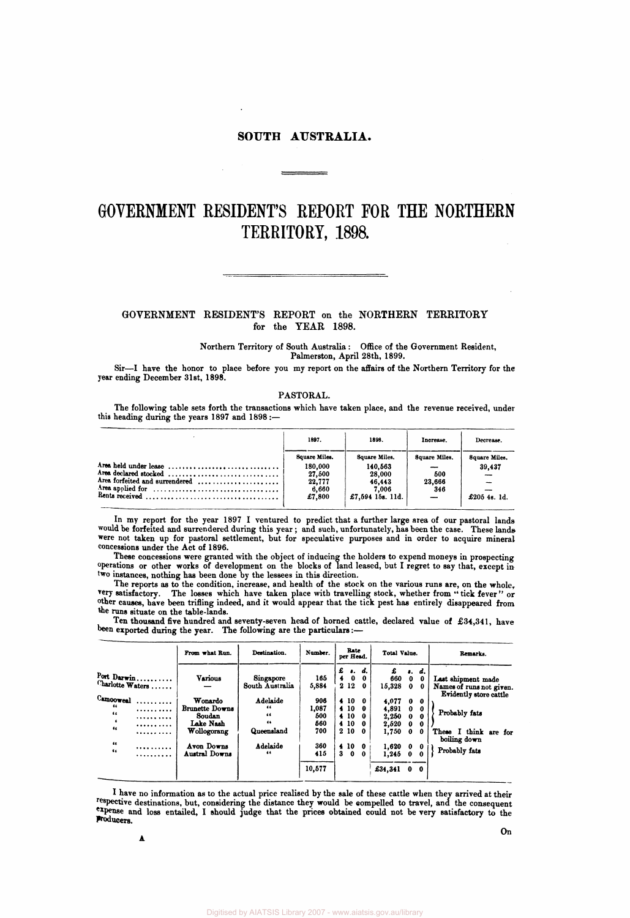# **SOUTH AUSTRALIA.**

# **GOVERNMENT RESIDENT'S REPORT FOR THE NORTHERN TERRITORY, 1898.**

# **GOVERNMENT RESIDENT'S REPORT on the NORTHERN TERRITORY for the YEAR 1898.**

**Northern Territory of South Australia : Office of the Government Resident, Palmerston, April 28th, 1899.** 

**Sir—I have the honor to place before you my report on the affairs of the Northern Territory for the year ending December 31st, 1898.** 

# **PASTORAL.**

**The following table sets forth the transactions which have taken place, and the revenue received, under this heading during the years 1897 and 1898:—** 

|                                                                                  | 1897.                                          | 1898.                                                    | Increase.            | Decrease.            |
|----------------------------------------------------------------------------------|------------------------------------------------|----------------------------------------------------------|----------------------|----------------------|
|                                                                                  | Square Miles.                                  | Square Miles.                                            | Square Miles.        | Square Miles.        |
| Area held under lease<br>Area declared stocked<br>Area forfeited and surrendered | 180.000<br>27,500<br>22,777<br>6.660<br>£7.800 | 140,563<br>28.000<br>46.443<br>7.006<br>£7.594 15s. 11d. | 500<br>23,666<br>346 | 39.437<br>£20548.1d. |

**In my report for the year 1897 I ventured to predict that a further large area of our pastoral lands would be forfeited and surrendered during this year; and such, unfortunately, has been the case. These lands were not taken up for pastoral settlement, but for speculative purposes and in order to acquire mineral concessions under the Act of 1896.** 

**These concessions were granted with the object of inducing the holders to expend moneys in prospecting operations or other works of development on the blocks of land leased, but I regret to say that, except in two instances, nothing has been done by the lessees in this direction.** 

The reports as to the condition, increase, and health of the stock on the various runs are, on the w **very satisfactory. The losses which have taken place with travelling stock, whether from " tick fever " or other causes, have been trifling indeed, and it would appear that the tick pest has entirely disappeared from the runs situate on the table-lands.** 

**Ten thousand five hundred and seventy-seven head of horned cattle, declared value of £34,341, have been exported during the year. The following are the particulars:—** 

|                                                                                                                                                   | From what Run.                                                                                                          | Destination.                                                                                                         | Number.                                                                   | Rate<br>Total Value.<br>per Head.                                                                                                                                                                             |                                                                                                                                                                                                                                                                                                                           | Remarks.                                                                                                                                               |  |
|---------------------------------------------------------------------------------------------------------------------------------------------------|-------------------------------------------------------------------------------------------------------------------------|----------------------------------------------------------------------------------------------------------------------|---------------------------------------------------------------------------|---------------------------------------------------------------------------------------------------------------------------------------------------------------------------------------------------------------|---------------------------------------------------------------------------------------------------------------------------------------------------------------------------------------------------------------------------------------------------------------------------------------------------------------------------|--------------------------------------------------------------------------------------------------------------------------------------------------------|--|
| Port $Darwin$<br>Charlotte Waters<br>Camooweal<br>.<br>66<br>.<br>$\epsilon$<br><br>$\cdot$<br>.<br>$\epsilon$<br>.<br>-66<br><br>$\epsilon$<br>. | <b>Various</b><br>Wonardo<br><b>Brunette Downs</b><br>Soudan<br>Lake Nash<br>Wollogorang<br>Avon Downs<br>Austral Downs | Singapore<br>South Australia<br>Adelaide<br>$\epsilon$<br>-66<br>$^{16}$<br>Queensland<br>Adelaide<br>$\overline{a}$ | 165<br>5,884<br>906<br>1.087<br>500<br>560<br>700<br>360<br>415<br>10,577 | £<br>s. d.<br>$\bf{0}$<br>$\bf{0}$<br>212<br>$\mathbf 0$<br>-10<br>4<br>$\mathbf{0}$<br>410<br>0<br>410<br>0<br>4 10<br>$\mathbf{0}$<br>$\mathbf{2}$<br>10<br>0<br>10<br>4<br>$\mathbf 0$<br>3<br>$\mathbf 0$ | £<br>$\lambda$ . d.<br>660<br>$\bullet$<br>$\mathbf{0}$<br>15,328<br>$\mathbf 0$<br>- 0<br>4,077<br>0<br>$\mathbf 0$<br>4,891<br>$\bf{0}$<br>$\mathbf 0$<br>2,250<br>$\bf{0}$<br>$\mathbf o$<br>2,520<br>$\mathbf 0$<br>$\mathbf{0}$<br>1,750<br>0<br>0<br>1,620<br>- 0<br>$\bf{0}$<br>$1,245$ 0<br>£34,341<br>- 0<br>- 0 | Last shipment made<br>Names of runs not given.<br>Evidently store cattle<br>Probably fats<br>I think are for<br>These<br>boiling down<br>Probably fats |  |

**I have no information as to the actual price realised by the sale of these cattle when they arrived at their respective destinations, but, considering the distance they would be compelled to travel, and the consequent expense and loss entailed, I should judge that the prices obtained could not be very satisfactory to the**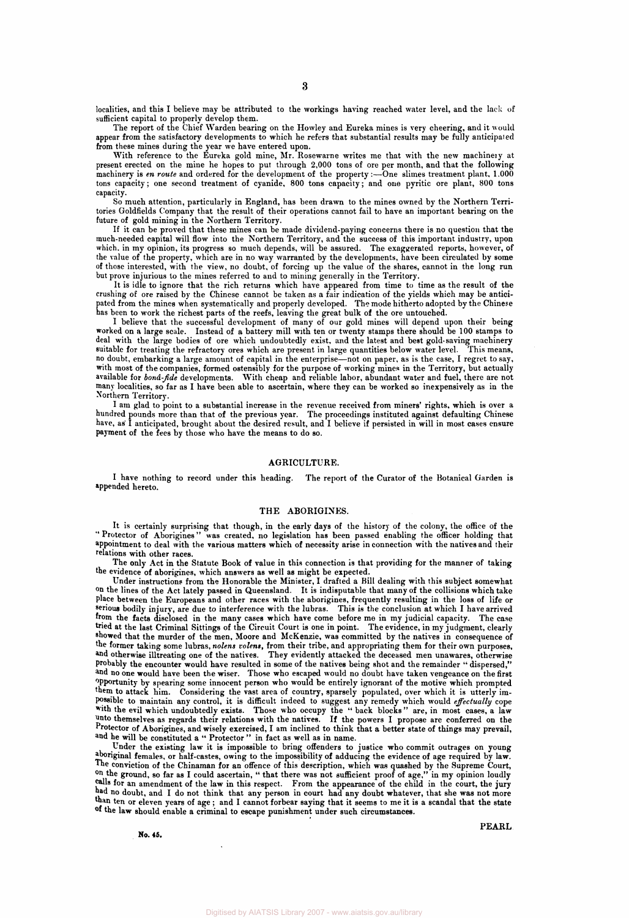**localities, and this I believe may be attributed to the workings having reached water level, and the lack of sufficient capital to properly develop them.** 

**The report of the Chief Warden bearing on the Howley and Eureka mines is very cheering, and it would appear from the satisfactory developments to which he refers that substantial results may be fully anticipated from these mines during the year we have entered upon.** 

With reference to the Eureka gold mine, Mr. Rosewarne writes me that with the new machinery at **present erected on the mine he hopes to put through 2,000 tons of ore per month, and that the following machinery is** *en route* **and ordered for the development of the property:—One slimes treatment plant, 1.000 tons capacity; one second treatment of cyanide, 800 tons capacity; and one pyritic ore plant, 800 tons capacity.** 

**So much attention, particularly in England, has been drawn to the mines owned by the Northern Territories Goldfields Company that the result of their operations cannot fail to have an important bearing on the future of gold mining in the Northern Territory.** 

**If it can be proved that these mines can be made dividend-paying concerns there is no question that the much-needed capital will flow into the Northern Territory, and the success of this important industry, upon which, in my opinion, its progress so much depends, will be assured. The exaggerated reports, however, of the value of the property, which are in no way warranted by the developments, have been circulated by some of those interested, with the view, no doubt, of forcing up the value of the shares, cannot in the long run but prove injurious to the mines referred to and to mining generally in the Territory.** 

**It is idle to ignore that the rich returns which have appeared from time to time as the result of the crushing of ore raised by the Chinese cannot be taken as a fair indication of the yields which may be anticipated from the mines when systematically and properly developed. The mode hitherto adopted by the Chinese has been to work the richest parts of the reefs, leaving the great bulk of the ore untouched.** 

**I believe that the successful development of many of our gold mines will depend upon their being worked on a large scale. Instead of a battery mill with ten or twenty stamps there should be 100 stamps to deal with the large bodies of ore which undoubtedly exist, and the latest and best gold saving machinery suitable for treating the refractory ores which are present in large quantities below water level. This means,**  suitable for treating the refractory ores which are present in large quantities below water level. This means, no doubt, embarking a large amount of capital in the enterprise—not on paper, as is the case, I regret to say, **with most of the companies, formed ostensibly for the purpose of working mines in the Territory, but actually available for** *bond-fide* **developments. With cheap and reliable labor, abundant water and fuel, there are not many localities, so far as I have been able to ascertain, where they can be worked so inexpensively as in the Northern Territory.** 

**I am glad to point to a substantial increase in the revenue received from miners' rights, which is over a hundred pounds more than that of the previous year. The proceedings instituted against defaulting Chinese have, as I anticipated, brought about the desired result, and I believe if persisted in will in most cases ensure payment of the fees by those who have the means to do so.** 

### **AGRICULTURE.**

**I have nothing to record under this heading. The report of the Curator of the Botanical Garden is appended hereto.** 

## **THE ABORIGINES.**

**It is certainly surprising that though, in the early days of the history of the colony, the office of the " Protector of Aborigines" was created, no legislation has been passed enabling the officer holding that appointment to deal with the various matters which of necessity arise in connection with the natives and their relations with other races.** 

**The only Act in the Statute Book of value in this connection is that providing for the manner of taking the evidence of aborigines, which answers as well as might be expected.** 

Under instructions from the Honorable the Minister, I drafted a Bill dealing with this subject somewhat **on the lines of the Act lately passed in Queensland. It is indisputable that many of the collisions which take place between the Europeans and other races with the aborigines, frequently resulting in the loss of life or serious bodily injury, are due to interference with the lubras. This is the conclusion at which I have arrived from the facts disclosed in the many cases which have come before me in my judicial capacity. The case tried at the last Criminal Sittings of the Circuit Court is one in point. The evidence, in my judgment, clearly showed that the murder of the men, Moore and McKenzie, was committed by the natives in consequence of the former taking some lubras,** *nolens volens,* **from their tribe, and appropriating them for their own purposes, and otherwise illtreating one of the natives. They evidently attacked the deceased men unawares, otherwise probably the encounter would have resulted in some of the natives being shot and the remainder " dispersed,"**  and no one would have been the wiser. Those who escaped would no doubt have taken vengeance on the first **opportunity by spearing some innocent person who would be entirely ignorant of the motive which prompted**  them to attack him. Considering the vast area of country, sparsely populated, over which it is utterly im**possible to maintain any control, it is difficult indeed to suggest any remedy which would** *effectually* **cope with the evil which undoubtedly exists. Those who occupy the " back blocks " are, in most cases, a law unto themselves as regards their relations with the natives. If the powers I propose are conferred on the Protector of Aborigines, and wisely exercised, I am inclined to think that a better state of things may prevail, and he will be constituted a " Protector " in fact as well as in name.** 

**Under the existing law it is impossible to bring offenders to justice who commit outrages on young aboriginal females, or half-castes, owing to the impossibility of adducing the evidence of age required by law. The conviction of the Chinaman for an offence of this description, which was quashed by the Supreme Court, on the ground, so far as I could ascertain, " that there was not sufficient proof of age," in my opinion loudly calls for an amendment of the law in this respect. From the appearance of the child in the court, the jury had no doubt, and I do not think that any person in court had any doubt whatever, that she was not more**  than ten or eleven years of age; and I cannot forbear saying that it seems to me it is a scandal that the state **of the law should enable a criminal to escape punishment under such circumstances.** 

**No. 45.** 

**PEARL**